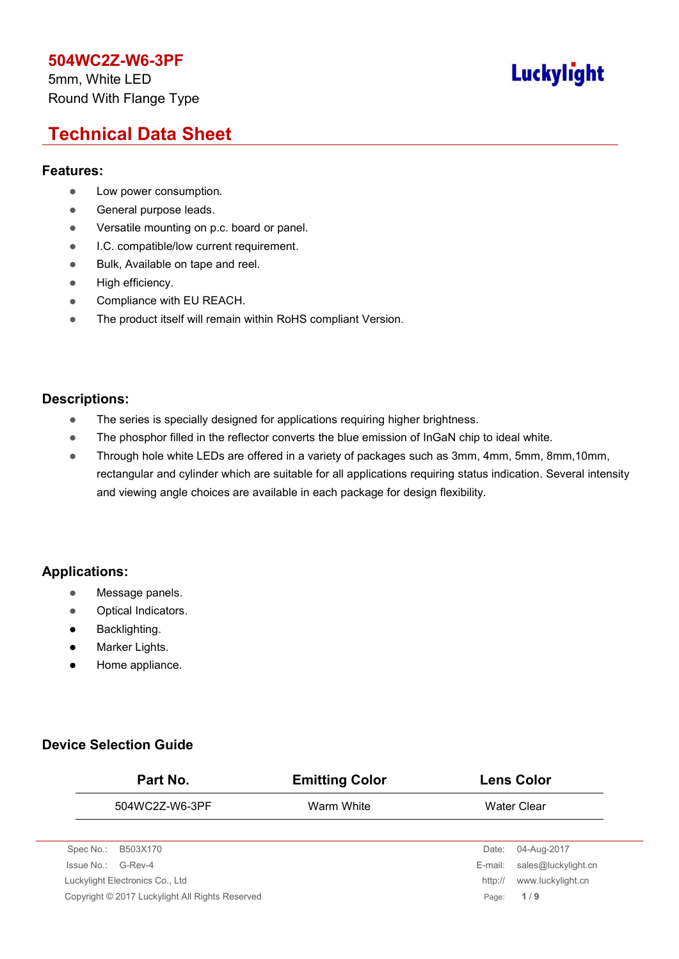5mm, White LED Round With Flange Type

# **Luckylight**

# **Technical Data Sheet**

#### **Features:**

- Low power consumption.
- **General purpose leads.**
- **•** Versatile mounting on p.c. board or panel.
- **I.C. compatible/low current requirement.**
- **Bulk, Available on tape and reel.**
- High efficiency.
- **•** Compliance with EU REACH.
- The product itself will remain within RoHS compliant Version.

#### **Descriptions:**

- The series is specially designed for applications requiring higher brightness.
- The phosphor filled in the reflector converts the blue emission of InGaN chip to ideal white.
- Through hole white LEDs are offered in a variety of packages such as 3mm, 4mm, 5mm, 8mm, 10mm, rectangular and cylinder which are suitable for all applications requiring status indication. Several intensity and viewing angle choices are available in each package for design flexibility.

### **Applications:**

- **Message panels.**
- Optical Indicators.
- **•** Backlighting.
- **•** Marker Lights.
- Home appliance.

### **Device Selection Guide**

| Part No.                                        | <b>Emitting Color</b> |         | <b>Lens Color</b>   |
|-------------------------------------------------|-----------------------|---------|---------------------|
| 504WC2Z-W6-3PF                                  | Warm White            |         | Water Clear         |
|                                                 |                       |         |                     |
| Spec No.:<br>B503X170                           |                       | Date:   | 04-Aug-2017         |
| Issue No.:<br>G-Rev-4                           |                       | E-mail: | sales@luckylight.cn |
| Luckylight Electronics Co., Ltd                 |                       | http:// | www.luckylight.cn   |
| Copyright © 2017 Luckylight All Rights Reserved |                       | Page:   | 1/9                 |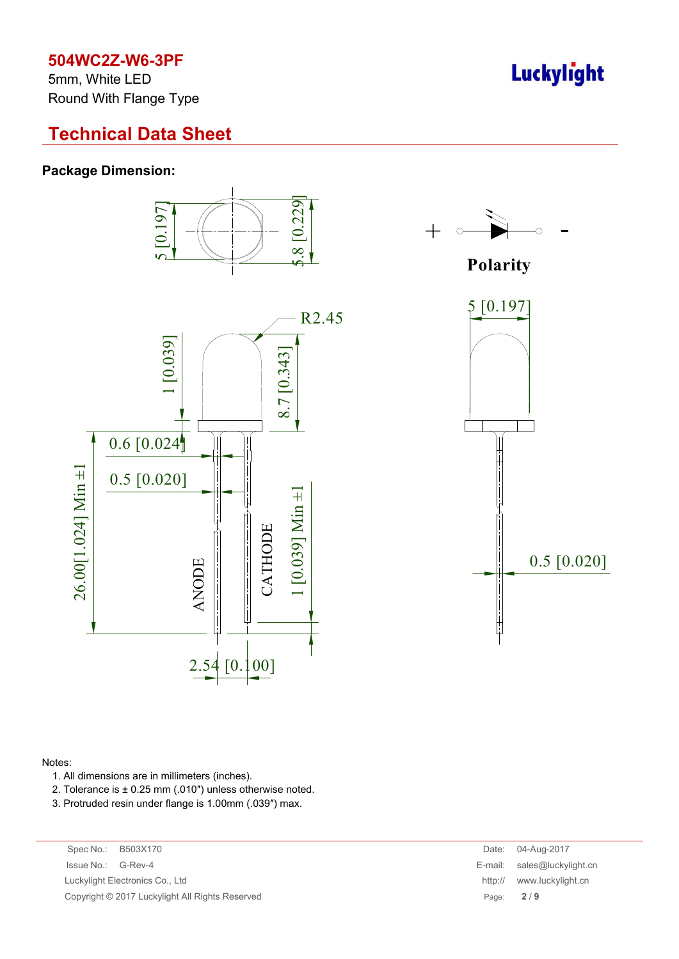5mm, White LED Round With Flange Type

## **Technical Data Sheet**

#### **Package Dimension:**







#### Notes:

- 1. All dimensions are in millimeters (inches).
- 2. Tolerance is ± 0.25 mm (.010″) unless otherwise noted.
- 3. Protruded resin under flange is 1.00mm (.039″) max.

Spec No.: B503X170 Date: 04-Aug-2017 Issue No.: G-Rev-4 Luckylight Electronics Co., Ltd Copyright © 2017 Luckylight All Rights Reserved

| Date:   | 04-Aug-2017         |
|---------|---------------------|
| E-mail: | sales@luckylight.cn |
| http:// | www.luckylight.cn   |
| Page:   | 2/9                 |

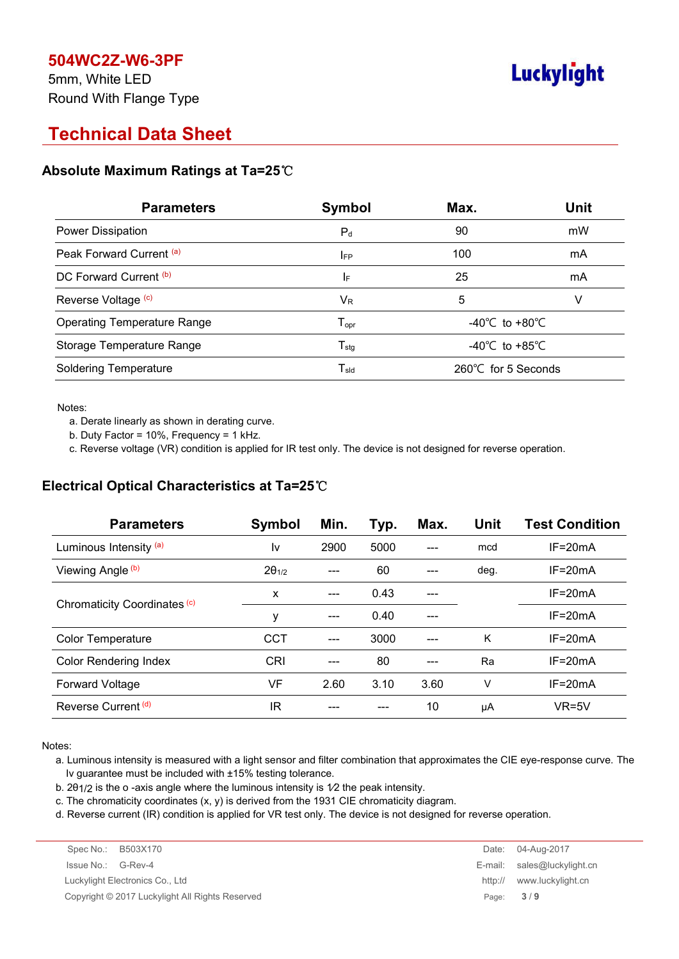5mm, White LED Round With Flange Type

# **Luckylight**

# **Technical Data Sheet**

#### **Absolute Maximum Ratings at Ta=25**℃

| <b>Parameters</b>                  | Symbol                     | Max.                               | <b>Unit</b> |
|------------------------------------|----------------------------|------------------------------------|-------------|
| <b>Power Dissipation</b>           | $P_d$                      | 90                                 | mW          |
| Peak Forward Current (a)           | <b>IFP</b>                 | 100                                | mA          |
| DC Forward Current (b)             | IF                         | 25                                 | mA          |
| Reverse Voltage (c)                | VR                         | 5                                  | v           |
| <b>Operating Temperature Range</b> | $T_{\mathsf{opr}}$         | $-40^{\circ}$ C to $+80^{\circ}$ C |             |
| Storage Temperature Range          | ${\mathsf T}_{\text{stg}}$ | -40°C to +85°C                     |             |
| <b>Soldering Temperature</b>       | $T_{\sf sld}$              | 260°C for 5 Seconds                |             |

Notes:

a. Derate linearly as shown in derating curve.

b. Duty Factor = 10%, Frequency = 1 kHz.

c. Reverse voltage (VR) condition is applied for IR test only. The device is not designed for reverse operation.

### **Electrical Optical Characteristics at Ta=25**℃

| <b>Parameters</b>            | Symbol          | Min.  | Typ. | Max. | Unit | <b>Test Condition</b> |
|------------------------------|-----------------|-------|------|------|------|-----------------------|
| Luminous Intensity (a)       | I٧              | 2900  | 5000 | ---  | mcd  | $IF = 20mA$           |
| Viewing Angle (b)            | $2\theta_{1/2}$ | ---   | 60   | ---  | deg. | $IF = 20mA$           |
| Chromaticity Coordinates (c) | X               | $---$ | 0.43 |      |      | $IF = 20mA$           |
|                              | у               | ---   | 0.40 | ---  |      | $IF = 20mA$           |
| <b>Color Temperature</b>     | <b>CCT</b>      | ---   | 3000 |      | K    | $IF = 20mA$           |
| <b>Color Rendering Index</b> | CRI             | ---   | 80   | ---  | Ra   | $IF = 20mA$           |
| <b>Forward Voltage</b>       | VF              | 2.60  | 3.10 | 3.60 | ٧    | $IF = 20mA$           |
| Reverse Current (d)          | ΙR              |       |      | 10   | μA   | $VR=5V$               |

Notes:

a. Luminous intensity is measured with a light sensor and filter combination that approximates the CIE eye-response curve. The Iv guarantee must be included with ±15% testing tolerance.

b. 2θ1/2 is the o -axis angle where the luminous intensity is 1⁄2 the peak intensity.

c. The chromaticity coordinates (x, y) is derived from the 1931 CIE chromaticity diagram.

d. Reverse current (IR) condition is applied for VR test only. The device is not designed for reverse operation.

| Spec No.: B503X170                              |           | Date: 04-Aug-2017             |
|-------------------------------------------------|-----------|-------------------------------|
| Issue No.: G-Rev-4                              |           | E-mail: $sales@luckvlight.cn$ |
| Luckylight Electronics Co., Ltd                 | http://   | www.luckylight.cn             |
| Copyright © 2017 Luckylight All Rights Reserved | Page: 3/9 |                               |
|                                                 |           |                               |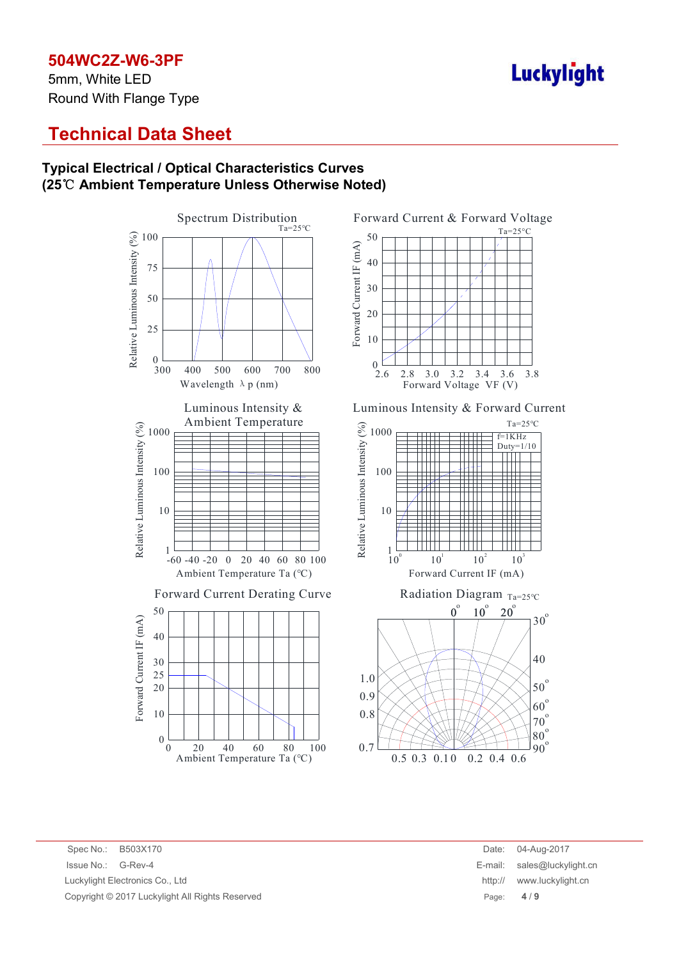5mm, White LED Round With Flange Type

# **Luckylight**

## **Technical Data Sheet**

#### **Typical Electrical / Optical Characteristics Curves (25**℃ **Ambient Temperature Unless Otherwise Noted)**





Luminous Intensity & Forward Current



#### 0.3 0.5 0.1 0 0.2 0.4 0.6 0.7 0.8  $60^\circ$  $70^\circ$  $80^\circ$  $90^\circ$

Spec No.: B503X170 Date: 04-Aug-2017 Issue No.: G-Rev-4 Luckylight Electronics Co., Ltd Copyright © 2017 Luckylight All Rights Reserved

| Date:   | 04-Aug-2017         |
|---------|---------------------|
| E-mail: | sales@luckylight.cn |
| http:// | www.luckylight.cn   |
| Page:   | 4/9                 |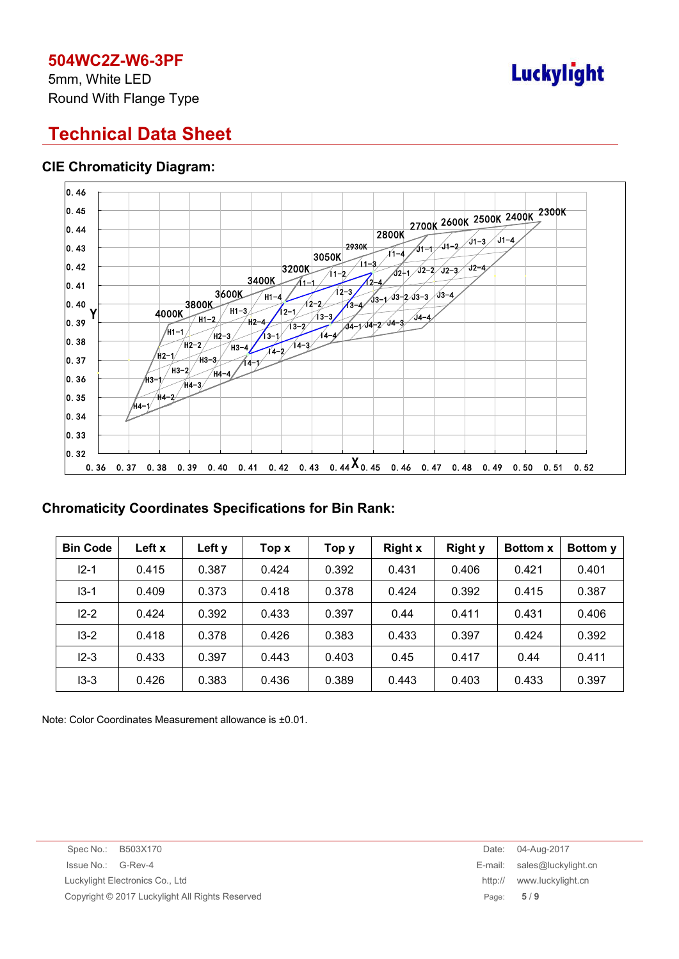5mm, White LED Round With Flange Type

# **Luckylight**

# **Technical Data Sheet**

### **CIE Chromaticity Diagram:**



#### **Chromaticity Coordinates Specifications for Bin Rank:**

| <b>Bin Code</b> | Left x | Left y | Top x | Тор у | <b>Right x</b> | <b>Right y</b> | <b>Bottom x</b> | <b>Bottom</b> y |
|-----------------|--------|--------|-------|-------|----------------|----------------|-----------------|-----------------|
| $12 - 1$        | 0.415  | 0.387  | 0.424 | 0.392 | 0.431          | 0.406          | 0.421           | 0.401           |
| $13 - 1$        | 0.409  | 0.373  | 0.418 | 0.378 | 0.424          | 0.392          | 0.415           | 0.387           |
| $12 - 2$        | 0.424  | 0.392  | 0.433 | 0.397 | 0.44           | 0.411          | 0.431           | 0.406           |
| $13-2$          | 0.418  | 0.378  | 0.426 | 0.383 | 0.433          | 0.397          | 0.424           | 0.392           |
| $12 - 3$        | 0.433  | 0.397  | 0.443 | 0.403 | 0.45           | 0.417          | 0.44            | 0.411           |
| $13 - 3$        | 0.426  | 0.383  | 0.436 | 0.389 | 0.443          | 0.403          | 0.433           | 0.397           |

Note: Color Coordinates Measurement allowance is ±0.01.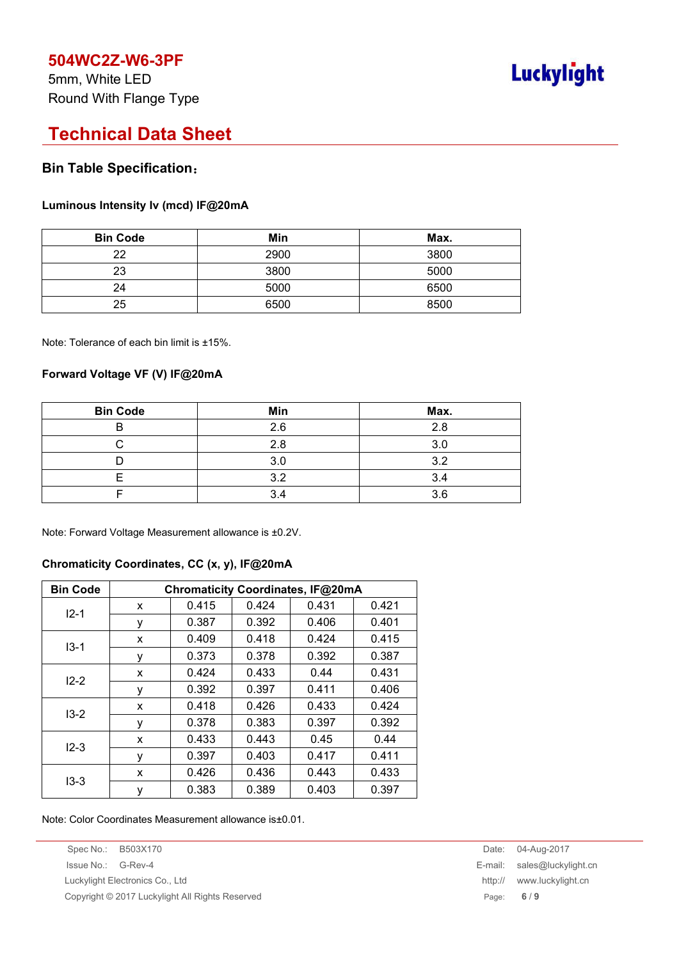5mm, White LED Round With Flange Type

# **Luckylight**

## **Technical Data Sheet**

#### **Bin Table Specification**:

#### **Luminous Intensity Iv (mcd) IF@20mA**

| <b>Bin Code</b> | Min  | Max. |
|-----------------|------|------|
| 22              | 2900 | 3800 |
| 23              | 3800 | 5000 |
| 24              | 5000 | 6500 |
| 25              | 6500 | 8500 |

Note: Tolerance of each bin limit is ±15%.

#### **Forward Voltage VF (V) IF@20mA**

| <b>Bin Code</b> | Min | Max. |
|-----------------|-----|------|
|                 | 2.6 | 2.8  |
|                 | 2.8 | 3.0  |
|                 | 3.0 | 3.2  |
|                 | 3.2 | 3.4  |
|                 | 3.4 | 3.6  |

Note: Forward Voltage Measurement allowance is ±0.2V.

#### **Chromaticity Coordinates, CC (x, y), IF@20mA**

| <b>Bin Code</b> | Chromaticity Coordinates, IF@20mA |       |       |       |       |  |
|-----------------|-----------------------------------|-------|-------|-------|-------|--|
| $12 - 1$        | x                                 | 0.415 | 0.424 | 0.431 | 0.421 |  |
|                 | у                                 | 0.387 | 0.392 | 0.406 | 0.401 |  |
| $13 - 1$        | X                                 | 0.409 | 0.418 | 0.424 | 0.415 |  |
|                 | у                                 | 0.373 | 0.378 | 0.392 | 0.387 |  |
| $12 - 2$        | x                                 | 0.424 | 0.433 | 0.44  | 0.431 |  |
|                 | у                                 | 0.392 | 0.397 | 0.411 | 0.406 |  |
| $13-2$          | X                                 | 0.418 | 0.426 | 0.433 | 0.424 |  |
|                 | у                                 | 0.378 | 0.383 | 0.397 | 0.392 |  |
| $12 - 3$        | X                                 | 0.433 | 0.443 | 0.45  | 0.44  |  |
|                 | у                                 | 0.397 | 0.403 | 0.417 | 0.411 |  |
| $13-3$          | X                                 | 0.426 | 0.436 | 0.443 | 0.433 |  |
|                 | у                                 | 0.383 | 0.389 | 0.403 | 0.397 |  |

Note: Color Coordinates Measurement allowance is±0.01.

Spec No.: B503X170 Date: 04-Aug-2017 Issue No.: G-Rev-4 E-mail: sales@luckylight.cn Luckylight Electronics Co., Ltd **http://** www.luckylight.cn Copyright © 2017 Luckylight All Rights Reserved **Page: 6** / 9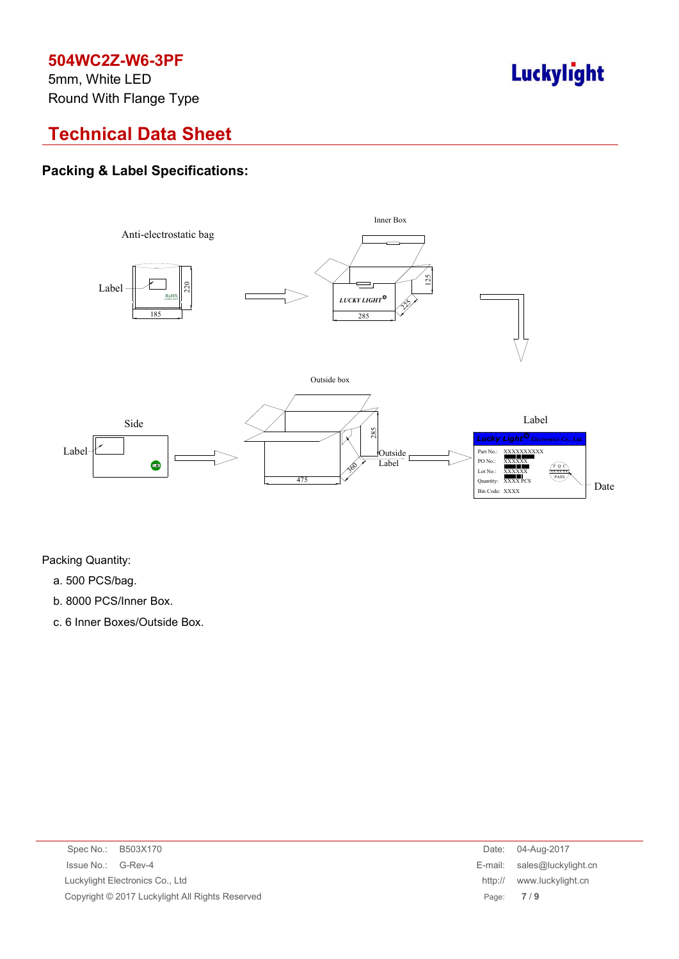5mm, White LED Round With Flange Type

# Luckylight

# **Technical Data Sheet**

## **Packing & Label Specifications:**



Packing Quantity:

- a. 500 PCS/bag.
- b. 8000 PCS/Inner Box.
- c. 6 Inner Boxes/Outside Box.

| Spec No.: B503X170                              |         | Date: 04-Aug-2017             |
|-------------------------------------------------|---------|-------------------------------|
| Issue No.: G-Rev-4                              |         | E-mail: $sales@luckvlight.cn$ |
| Luckylight Electronics Co., Ltd                 | http:// | www.luckylight.cn             |
| Copyright © 2017 Luckylight All Rights Reserved |         | Page: $7/9$                   |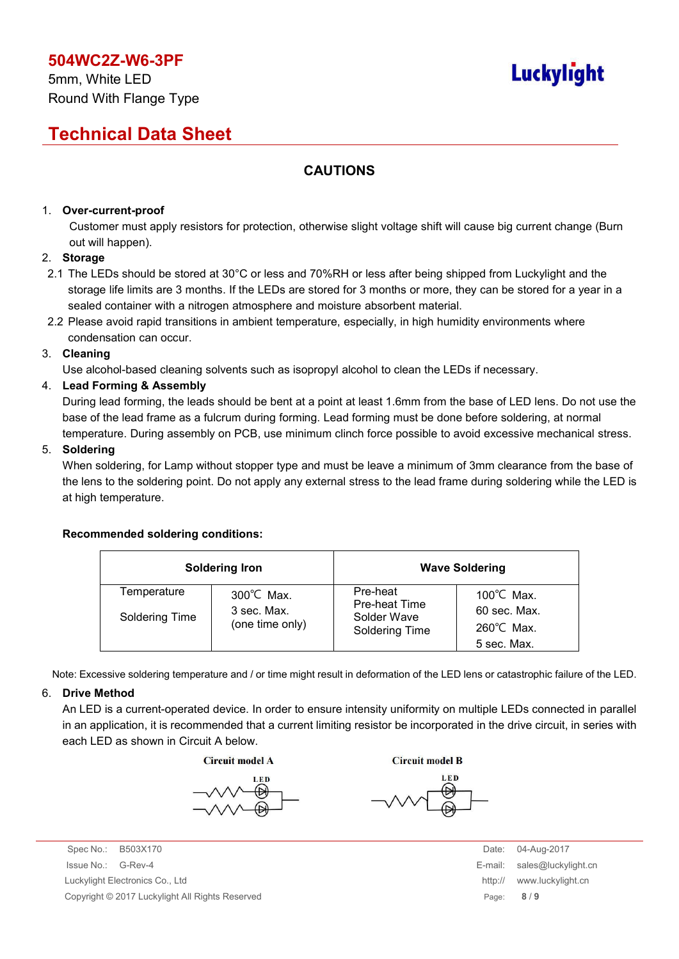# **Luckylight**

# **Technical Data Sheet**

## **CAUTIONS**

#### 1. **Over-current-proof**

Customer must apply resistors for protection, otherwise slight voltage shift will cause big current change (Burn out will happen).

#### 2. **Storage**

- 2.1 The LEDs should be stored at 30°C or less and 70%RH or less after being shipped from Luckylight and the storage life limits are 3 months. If the LEDs are stored for 3 months or more, they can be stored for a year in a sealed container with a nitrogen atmosphere and moisture absorbent material.
- 2.2 Please avoid rapid transitions in ambient temperature, especially, in high humidity environments where condensation can occur.

#### 3. **Cleaning**

Use alcohol-based cleaning solvents such as isopropyl alcohol to clean the LEDs if necessary.

#### 4. **Lead Forming & Assembly**

During lead forming, the leads should be bent at a point at least 1.6mm from the base of LED lens. Do not use the base of the lead frame as a fulcrum during forming. Lead forming must be done before soldering, at normal temperature. During assembly on PCB, use minimum clinch force possible to avoid excessive mechanical stress.

#### 5. **Soldering**

When soldering, for Lamp without stopper type and must be leave a minimum of 3mm clearance from the base of the lens to the soldering point. Do not apply any external stress to the lead frame during soldering while the LED is at high temperature.

#### **Recommended soldering conditions:**

|                | <b>Soldering Iron</b>               |                                      | <b>Wave Soldering</b>                |
|----------------|-------------------------------------|--------------------------------------|--------------------------------------|
| Temperature    | $300^{\circ}$ C Max.<br>3 sec. Max. | Pre-heat<br><b>Pre-heat Time</b>     | 100 $\degree$ C Max.<br>60 sec. Max. |
| Soldering Time | (one time only)                     | Solder Wave<br><b>Soldering Time</b> | $260^{\circ}$ C Max.<br>5 sec. Max.  |

Note: Excessive soldering temperature and / or time might result in deformation of the LED lens or catastrophic failure of the LED.

#### 6. **Drive Method**

An LED is a current-operated device. In order to ensure intensity uniformity on multiple LEDs connected in parallel in an application, it is recommended that a current limiting resistor be incorporated in the drive circuit, in series with each LED as shown in Circuit A below.

**Circuit model A** 

Spec No.: B503X170 Date: 04-Aug-2017 Issue No.: G-Rev-4 E-mail: sales@luckylight.cn Luckylight Electronics Co., Ltd http:// www.luckylight.cn Copyright © 2017 Luckylight All Rights Reserved Page: **8** / **9**

**Circuit model B**